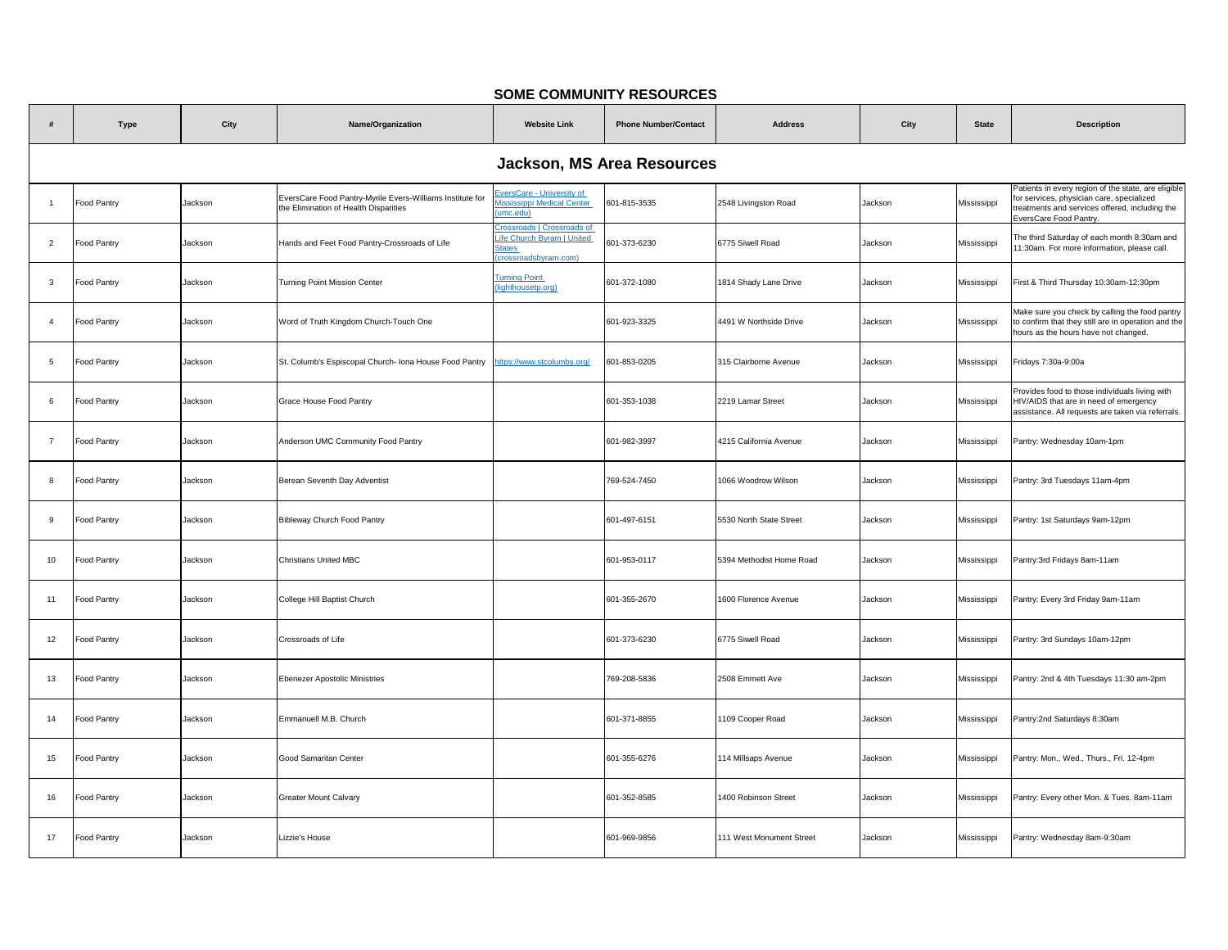## **SOME COMMUNITY RESOURCES**

|                | <b>Type</b>                       | City    | Name/Organization                                                                                  | <b>Website Link</b>                                                                             | <b>Phone Number/Contact</b> | <b>Address</b>           | City    | <b>State</b> | <b>Description</b>                                                                                                                                                          |  |  |  |
|----------------|-----------------------------------|---------|----------------------------------------------------------------------------------------------------|-------------------------------------------------------------------------------------------------|-----------------------------|--------------------------|---------|--------------|-----------------------------------------------------------------------------------------------------------------------------------------------------------------------------|--|--|--|
|                | <b>Jackson, MS Area Resources</b> |         |                                                                                                    |                                                                                                 |                             |                          |         |              |                                                                                                                                                                             |  |  |  |
| $\overline{1}$ | Food Pantry                       | Jackson | EversCare Food Pantry-Myrile Evers-Williams Institute for<br>the Elimination of Health Disparities | versCare - University of<br>lississippi Medical Center<br>umc.edu)                              | 601-815-3535                | 2548 Livingston Road     | Jackson | Mississippi  | Patients in every region of the state, are eligible<br>for services, physician care, specialized<br>reatments and services offered, including the<br>EversCare Food Pantry. |  |  |  |
| $\overline{2}$ | Food Pantry                       | Jackson | Hands and Feet Food Pantry-Crossroads of Life                                                      | <b>Crossroads</b>   Crossroads of<br>ife Church Byram   United<br>tates<br>crossroadsbyram.com) | 601-373-6230                | 6775 Siwell Road         | Jackson | Mississippi  | The third Saturday of each month 8:30am and<br>11:30am. For more information, please call.                                                                                  |  |  |  |
| $\mathbf{3}$   | Food Pantry                       | Jackson | Turning Point Mission Center                                                                       | <b>Turning Point</b><br>lighthousetp.org)                                                       | 601-372-1080                | 1814 Shady Lane Drive    | Jackson | Mississippi  | First & Third Thursday 10:30am-12:30pm                                                                                                                                      |  |  |  |
| $\overline{4}$ | Food Pantry                       | Jackson | Word of Truth Kingdom Church-Touch One                                                             |                                                                                                 | 601-923-3325                | 4491 W Northside Drive   | Jackson | Mississippi  | Make sure you check by calling the food pantry<br>to confirm that they still are in operation and the<br>hours as the hours have not changed.                               |  |  |  |
| 5              | Food Pantry                       | Jackson | St. Columb's Espiscopal Church- Iona House Food Pantry                                             | ttps://www.stcolumbs.org/                                                                       | 601-853-0205                | 315 Clairborne Avenue    | Jackson | Mississippi  | Fridays 7:30a-9:00a                                                                                                                                                         |  |  |  |
| 6              | Food Pantry                       | Jackson | Grace House Food Pantry                                                                            |                                                                                                 | 601-353-1038                | 2219 Lamar Street        | Jackson | Mississippi  | Provides food to those individuals living with<br>HIV/AIDS that are in need of emergency<br>assistance. All requests are taken via referrals.                               |  |  |  |
| $\overline{7}$ | Food Pantry                       | Jackson | Anderson UMC Community Food Pantry                                                                 |                                                                                                 | 601-982-3997                | 4215 California Avenue   | Jackson | Mississippi  | Pantry: Wednesday 10am-1pm                                                                                                                                                  |  |  |  |
| 8              | Food Pantry                       | Jackson | Berean Seventh Day Adventist                                                                       |                                                                                                 | 769-524-7450                | 1066 Woodrow Wilson      | Jackson | Mississippi  | Pantry: 3rd Tuesdays 11am-4pm                                                                                                                                               |  |  |  |
| 9              | Food Pantry                       | Jackson | Bibleway Church Food Pantry                                                                        |                                                                                                 | 601-497-6151                | 5530 North State Street  | Jackson | Mississippi  | Pantry: 1st Saturdays 9am-12pm                                                                                                                                              |  |  |  |
| 10             | Food Pantry                       | Jackson | Christians United MBC                                                                              |                                                                                                 | 601-953-0117                | 5394 Methodist Home Road | Jackson | Mississippi  | Pantry:3rd Fridays 8am-11am                                                                                                                                                 |  |  |  |
| 11             | Food Pantry                       | Jackson | College Hill Baptist Church                                                                        |                                                                                                 | 601-355-2670                | 1600 Florence Avenue     | Jackson | Mississippi  | Pantry: Every 3rd Friday 9am-11am                                                                                                                                           |  |  |  |
| 12             | Food Pantry                       | Jackson | Crossroads of Life                                                                                 |                                                                                                 | 601-373-6230                | 6775 Siwell Road         | Jackson | Mississippi  | Pantry: 3rd Sundays 10am-12pm                                                                                                                                               |  |  |  |
| 13             | Food Pantry                       | Jackson | Ebenezer Apostolic Ministries                                                                      |                                                                                                 | 769-208-5836                | 2508 Emmett Ave          | Jackson | Mississippi  | Pantry: 2nd & 4th Tuesdays 11:30 am-2pm                                                                                                                                     |  |  |  |
| 14             | Food Pantry                       | Jackson | Emmanuell M.B. Church                                                                              |                                                                                                 | 601-371-8855                | 1109 Cooper Road         | Jackson | Mississippi  | Pantry:2nd Saturdays 8:30am                                                                                                                                                 |  |  |  |
| 15             | Food Pantry                       | Jackson | Good Samaritan Center                                                                              |                                                                                                 | 601-355-6276                | 114 Millsaps Avenue      | Jackson | Mississippi  | Pantry: Mon., Wed., Thurs., Fri. 12-4pm                                                                                                                                     |  |  |  |
| 16             | Food Pantry                       | Jackson | <b>Greater Mount Calvary</b>                                                                       |                                                                                                 | 601-352-8585                | 1400 Robinson Street     | Jackson | Mississippi  | Pantry: Every other Mon. & Tues. 8am-11am                                                                                                                                   |  |  |  |
| 17             | Food Pantry                       | Jackson | Lizzie's House                                                                                     |                                                                                                 | 601-969-9856                | 111 West Monument Street | Jackson | Mississippi  | Pantry: Wednesday 8am-9:30am                                                                                                                                                |  |  |  |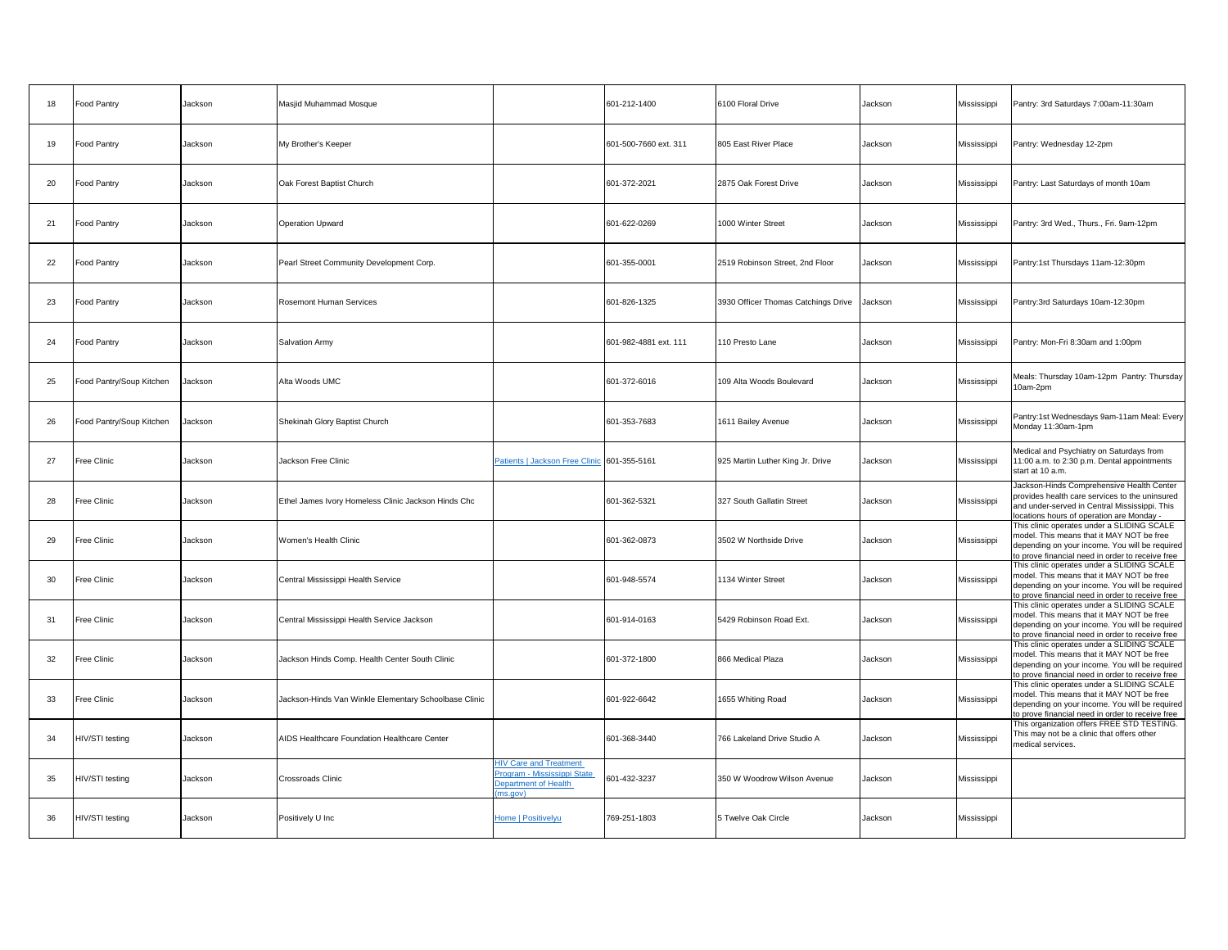| 18 | Food Pantry              | Jackson | Masjid Muhammad Mosque                                |                                                                                                        | 601-212-1400          | 6100 Floral Drive                   | Jackson | Mississippi | Pantry: 3rd Saturdays 7:00am-11:30am                                                                                                                                                          |
|----|--------------------------|---------|-------------------------------------------------------|--------------------------------------------------------------------------------------------------------|-----------------------|-------------------------------------|---------|-------------|-----------------------------------------------------------------------------------------------------------------------------------------------------------------------------------------------|
| 19 | Food Pantry              | Jackson | My Brother's Keeper                                   |                                                                                                        | 601-500-7660 ext. 311 | 805 East River Place                | Jackson | Mississippi | Pantry: Wednesday 12-2pm                                                                                                                                                                      |
| 20 | Food Pantry              | Jackson | Oak Forest Baptist Church                             |                                                                                                        | 601-372-2021          | 2875 Oak Forest Drive               | Jackson | Mississippi | Pantry: Last Saturdays of month 10am                                                                                                                                                          |
| 21 | Food Pantry              | Jackson | <b>Operation Upward</b>                               |                                                                                                        | 601-622-0269          | 1000 Winter Street                  | Jackson | Mississippi | Pantry: 3rd Wed., Thurs., Fri. 9am-12pm                                                                                                                                                       |
| 22 | Food Pantry              | Jackson | Pearl Street Community Development Corp.              |                                                                                                        | 601-355-0001          | 2519 Robinson Street, 2nd Floor     | Jackson | Mississippi | Pantry:1st Thursdays 11am-12:30pm                                                                                                                                                             |
| 23 | Food Pantry              | Jackson | <b>Rosemont Human Services</b>                        |                                                                                                        | 601-826-1325          | 3930 Officer Thomas Catchings Drive | Jackson | Mississippi | Pantry:3rd Saturdays 10am-12:30pm                                                                                                                                                             |
| 24 | Food Pantry              | Jackson | Salvation Army                                        |                                                                                                        | 601-982-4881 ext. 111 | 110 Presto Lane                     | Jackson | Mississippi | Pantry: Mon-Fri 8:30am and 1:00pm                                                                                                                                                             |
| 25 | Food Pantry/Soup Kitchen | Jackson | Alta Woods UMC                                        |                                                                                                        | 601-372-6016          | 109 Alta Woods Boulevard            | Jackson | Mississippi | Meals: Thursday 10am-12pm Pantry: Thursday<br>10am-2pm                                                                                                                                        |
| 26 | Food Pantry/Soup Kitchen | Jackson | Shekinah Glory Baptist Church                         |                                                                                                        | 601-353-7683          | 1611 Bailey Avenue                  | Jackson | Mississippi | Pantry:1st Wednesdays 9am-11am Meal: Every<br>Monday 11:30am-1pm                                                                                                                              |
| 27 | Free Clinic              | Jackson | Jackson Free Clinic                                   | Patients   Jackson Free Clinic 601-355-5161                                                            |                       | 925 Martin Luther King Jr. Drive    | Jackson | Mississippi | Medical and Psychiatry on Saturdays from<br>11:00 a.m. to 2:30 p.m. Dental appointments<br>start at 10 a.m.                                                                                   |
| 28 | Free Clinic              | Jackson | Ethel James Ivory Homeless Clinic Jackson Hinds Chc   |                                                                                                        | 601-362-5321          | 327 South Gallatin Street           | Jackson | Mississippi | Jackson-Hinds Comprehensive Health Center<br>provides health care services to the uninsured<br>and under-served in Central Mississippi. This<br>locations hours of operation are Monday -     |
| 29 | Free Clinic              | Jackson | Women's Health Clinic                                 |                                                                                                        | 601-362-0873          | 3502 W Northside Drive              | Jackson | Mississippi | This clinic operates under a SLIDING SCALE<br>model. This means that it MAY NOT be free<br>depending on your income. You will be required<br>to prove financial need in order to receive free |
| 30 | Free Clinic              | Jackson | Central Mississippi Health Service                    |                                                                                                        | 601-948-5574          | 1134 Winter Street                  | Jackson | Mississippi | This clinic operates under a SLIDING SCALE<br>model. This means that it MAY NOT be free<br>depending on your income. You will be required<br>to prove financial need in order to receive free |
| 31 | Free Clinic              | Jackson | Central Mississippi Health Service Jackson            |                                                                                                        | 601-914-0163          | 5429 Robinson Road Ext.             | Jackson | Mississippi | This clinic operates under a SLIDING SCALE<br>model. This means that it MAY NOT be free<br>depending on your income. You will be required<br>to prove financial need in order to receive free |
| 32 | Free Clinic              | Jackson | Jackson Hinds Comp. Health Center South Clinic        |                                                                                                        | 601-372-1800          | 866 Medical Plaza                   | Jackson | Mississippi | This clinic operates under a SLIDING SCALE<br>model. This means that it MAY NOT be free<br>depending on your income. You will be required<br>to prove financial need in order to receive free |
| 33 | Free Clinic              | Jackson | Jackson-Hinds Van Winkle Elementary Schoolbase Clinic |                                                                                                        | 601-922-6642          | 1655 Whiting Road                   | Jackson | Mississippi | This clinic operates under a SLIDING SCALE<br>model. This means that it MAY NOT be free<br>depending on your income. You will be required<br>to prove financial need in order to receive free |
| 34 | HIV/STI testing          | Jackson | AIDS Healthcare Foundation Healthcare Center          |                                                                                                        | 601-368-3440          | 766 Lakeland Drive Studio A         | Jackson | Mississippi | This organization offers FREE STD TESTING.<br>This may not be a clinic that offers other<br>medical services.                                                                                 |
| 35 | HIV/STI testing          | Jackson | Crossroads Clinic                                     | <b>HIV Care and Treatment</b><br>Program - Mississippi State<br><b>Department of Health</b><br>ns.aov) | 601-432-3237          | 350 W Woodrow Wilson Avenue         | Jackson | Mississippi |                                                                                                                                                                                               |
| 36 | HIV/STI testing          | Jackson | Positively U Inc                                      | Home   Positivelyu                                                                                     | 769-251-1803          | 5 Twelve Oak Circle                 | Jackson | Mississippi |                                                                                                                                                                                               |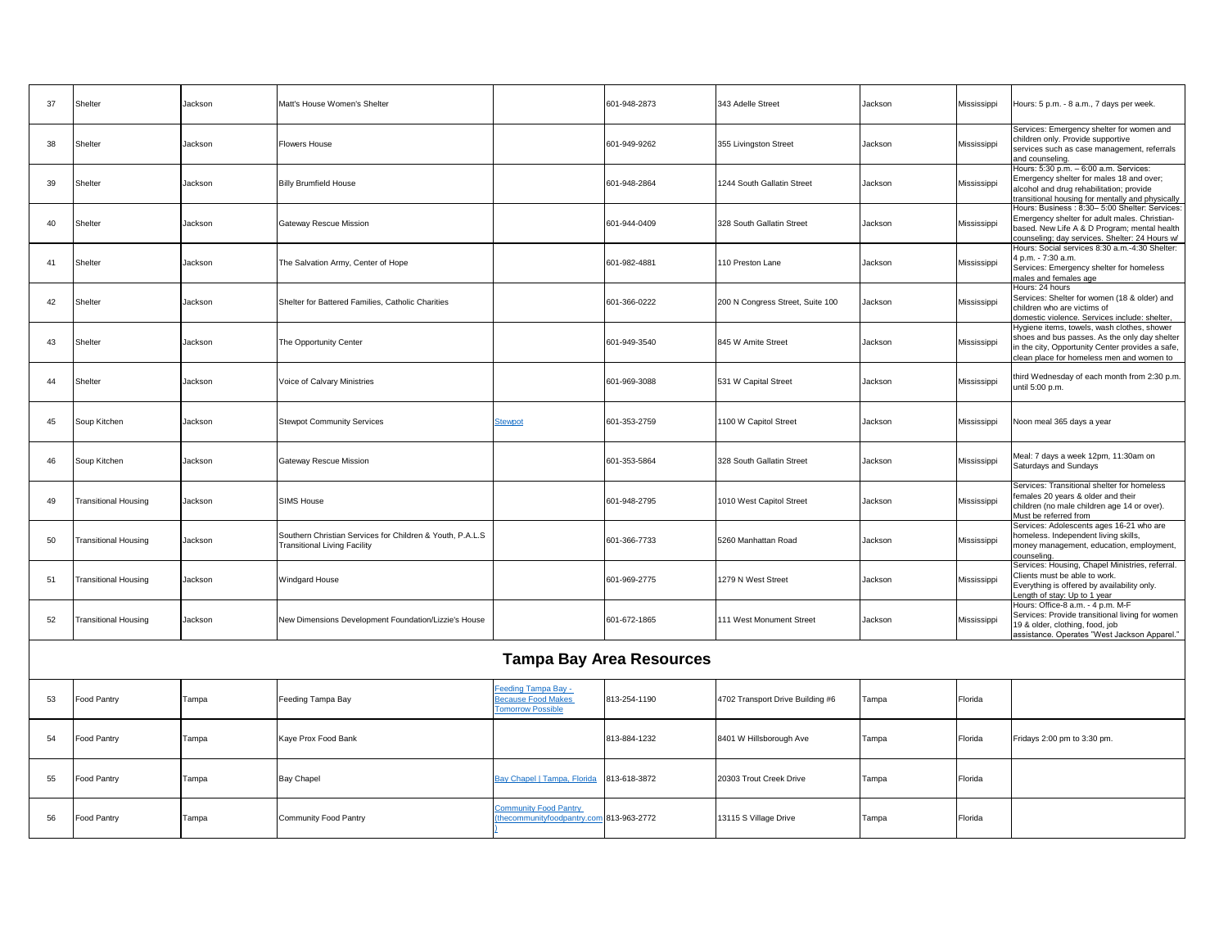| 37 | Shelter                     | Jackson | Matt's House Women's Shelter                                                                     |                                                                     | 601-948-2873                    | 343 Adelle Street                | Jackson | Mississippi | Hours: 5 p.m. - 8 a.m., 7 days per week.                                                                                                                                                          |
|----|-----------------------------|---------|--------------------------------------------------------------------------------------------------|---------------------------------------------------------------------|---------------------------------|----------------------------------|---------|-------------|---------------------------------------------------------------------------------------------------------------------------------------------------------------------------------------------------|
| 38 | Shelter                     | Jackson | <b>Flowers House</b>                                                                             |                                                                     | 601-949-9262                    | 355 Livingston Street            | Jackson | Mississippi | Services: Emergency shelter for women and<br>children only. Provide supportive<br>services such as case management, referrals<br>and counseling                                                   |
| 39 | Shelter                     | Jackson | <b>Billy Brumfield House</b>                                                                     |                                                                     | 601-948-2864                    | 1244 South Gallatin Street       | Jackson | Mississippi | Hours: 5:30 p.m. - 6:00 a.m. Services:<br>Emergency shelter for males 18 and over;<br>alcohol and drug rehabilitation; provide<br>ransitional housing for mentally and physically                 |
| 40 | Shelter                     | Jackson | <b>Gateway Rescue Mission</b>                                                                    |                                                                     | 601-944-0409                    | 328 South Gallatin Street        | Jackson | Mississippi | Hours: Business: 8:30- 5:00 Shelter: Services:<br>Emergency shelter for adult males. Christian-<br>based. New Life A & D Program; mental health<br>counseling; day services. Shelter: 24 Hours w/ |
| 41 | Shelter                     | Jackson | The Salvation Army, Center of Hope                                                               |                                                                     | 601-982-4881                    | 110 Preston Lane                 | Jackson | Mississippi | Hours: Social services 8:30 a.m.-4:30 Shelter:<br>4 p.m. - 7:30 a.m.<br>Services: Emergency shelter for homeless<br>males and females age                                                         |
| 42 | Shelter                     | Jackson | Shelter for Battered Families, Catholic Charities                                                |                                                                     | 601-366-0222                    | 200 N Congress Street, Suite 100 | Jackson | Mississippi | Hours: 24 hours<br>Services: Shelter for women (18 & older) and<br>children who are victims of<br>domestic violence. Services include: shelter,                                                   |
| 43 | Shelter                     | Jackson | The Opportunity Center                                                                           |                                                                     | 601-949-3540                    | 845 W Amite Street               | Jackson | Mississippi | Hygiene items, towels, wash clothes, shower<br>shoes and bus passes. As the only day shelter<br>n the city, Opportunity Center provides a safe,<br>lean place for homeless men and women to       |
| 44 | Shelter                     | Jackson | Voice of Calvary Ministries                                                                      |                                                                     | 601-969-3088                    | 531 W Capital Street             | Jackson | Mississippi | third Wednesday of each month from 2:30 p.m.<br>until 5:00 p.m.                                                                                                                                   |
| 45 | Soup Kitchen                | Jackson | <b>Stewpot Community Services</b>                                                                | Stewpot                                                             | 601-353-2759                    | 1100 W Capitol Street            | Jackson | Mississippi | Noon meal 365 days a year                                                                                                                                                                         |
| 46 | Soup Kitchen                | Jackson | Gateway Rescue Mission                                                                           |                                                                     | 601-353-5864                    | 328 South Gallatin Street        | Jackson | Mississippi | Meal: 7 days a week 12pm, 11:30am on<br>Saturdays and Sundays                                                                                                                                     |
| 49 | <b>Transitional Housing</b> | Jackson | <b>SIMS House</b>                                                                                |                                                                     | 601-948-2795                    | 1010 West Capitol Street         | Jackson | Mississippi | Services: Transitional shelter for homeless<br>emales 20 years & older and their<br>children (no male children age 14 or over).<br>Must be referred from                                          |
| 50 | <b>Transitional Housing</b> | Jackson | Southern Christian Services for Children & Youth, P.A.L.S<br><b>Transitional Living Facility</b> |                                                                     | 601-366-7733                    | 5260 Manhattan Road              | Jackson | Mississippi | Services: Adolescents ages 16-21 who are<br>homeless. Independent living skills,<br>money management, education, employment,<br>counselina.                                                       |
| 51 | <b>Transitional Housing</b> | Jackson | Windgard House                                                                                   |                                                                     | 601-969-2775                    | 1279 N West Street               | Jackson | Mississippi | Services: Housing, Chapel Ministries, referral.<br>Clients must be able to work.<br>Everything is offered by availability only.<br>Length of stay: Up to 1 year                                   |
| 52 | <b>Transitional Housing</b> | Jackson | New Dimensions Development Foundation/Lizzie's House                                             |                                                                     | 601-672-1865                    | 111 West Monument Street         | Jackson | Mississippi | Hours: Office-8 a.m. - 4 p.m. M-F<br>Services: Provide transitional living for women<br>19 & older, clothing, food, job<br>assistance. Operates "West Jackson Apparel."                           |
|    |                             |         |                                                                                                  |                                                                     | <b>Tampa Bay Area Resources</b> |                                  |         |             |                                                                                                                                                                                                   |
| 53 | <b>Food Pantry</b>          | Tampa   | Feeding Tampa Bay                                                                                | eeding Tampa Bay -<br>ecause Food Makes<br><b>Tomorrow Possible</b> | 813-254-1190                    | 4702 Transport Drive Building #6 | Tampa   | Florida     |                                                                                                                                                                                                   |
| 54 | Food Pantry                 | Tampa   | Kaye Prox Food Bank                                                                              |                                                                     | 813-884-1232                    | 8401 W Hillsborough Ave          | Tampa   | Florida     | Fridays 2:00 pm to 3:30 pm.                                                                                                                                                                       |
| 55 | Food Pantry                 | Tampa   | <b>Bay Chapel</b>                                                                                | Bay Chapel   Tampa, Florida                                         | 813-618-3872                    | 20303 Trout Creek Drive          | Tampa   | Florida     |                                                                                                                                                                                                   |
| 56 | Food Pantry                 | Tampa   | Community Food Pantry                                                                            | Community Food Pantry<br>thecommunityfoodpantry.com 813-963-2772    |                                 | 13115 S Village Drive            | Tampa   | Florida     |                                                                                                                                                                                                   |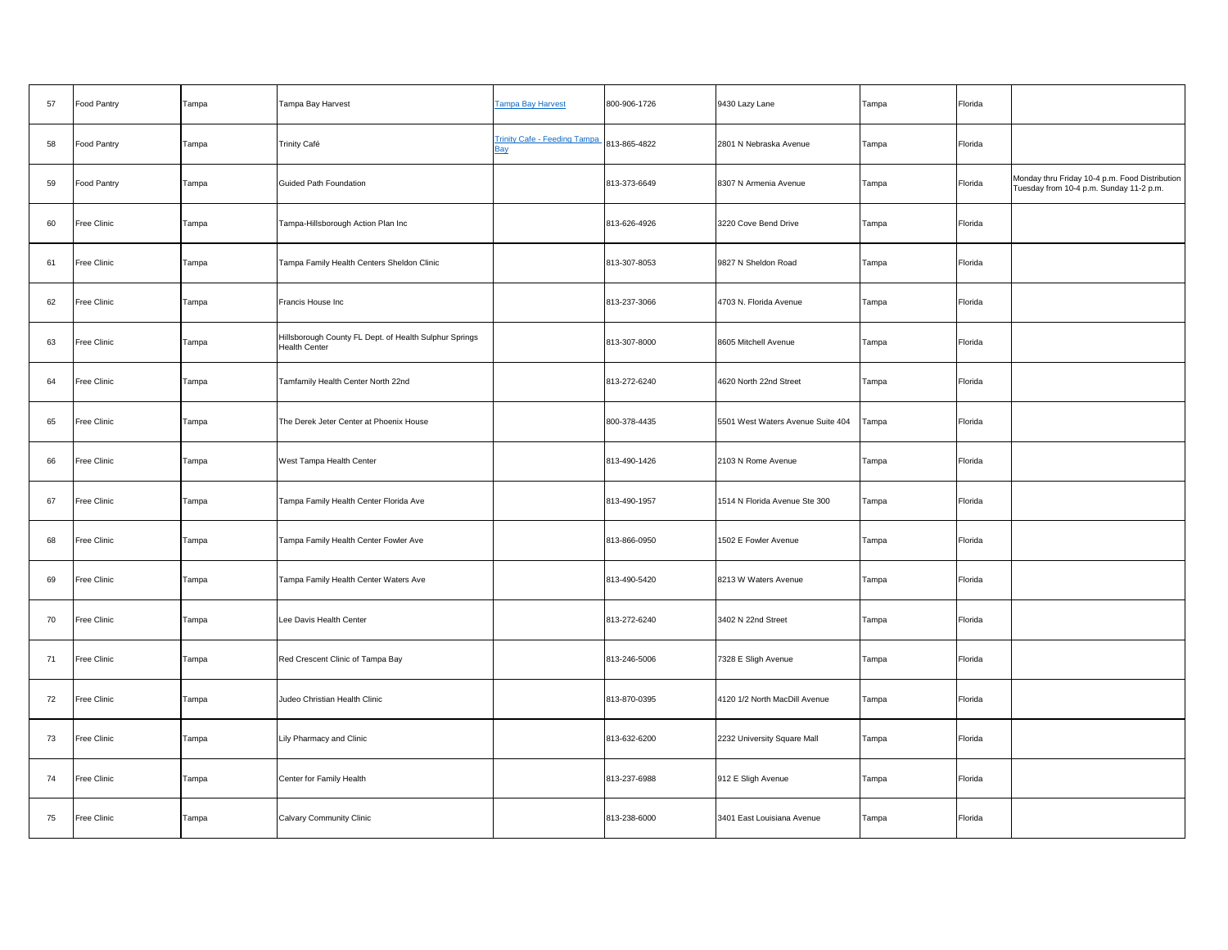| 57 | Food Pantry | Tampa | Tampa Bay Harvest                                                              | <b>Tampa Bay Harvest</b>                   | 800-906-1726 | 9430 Lazy Lane                    | Tampa | Florida |                                                                                           |
|----|-------------|-------|--------------------------------------------------------------------------------|--------------------------------------------|--------------|-----------------------------------|-------|---------|-------------------------------------------------------------------------------------------|
| 58 | Food Pantry | Tampa | <b>Trinity Café</b>                                                            | <b>Trinity Cafe - Feeding Tampa</b><br>Bay | 813-865-4822 | 2801 N Nebraska Avenue            | Tampa | Florida |                                                                                           |
| 59 | Food Pantry | Tampa | Guided Path Foundation                                                         |                                            | 813-373-6649 | 8307 N Armenia Avenue             | Tampa | Florida | Monday thru Friday 10-4 p.m. Food Distribution<br>Tuesday from 10-4 p.m. Sunday 11-2 p.m. |
| 60 | Free Clinic | Tampa | Tampa-Hillsborough Action Plan Inc                                             |                                            | 813-626-4926 | 3220 Cove Bend Drive              | Tampa | Florida |                                                                                           |
| 61 | Free Clinic | Tampa | Tampa Family Health Centers Sheldon Clinic                                     |                                            | 813-307-8053 | 9827 N Sheldon Road               | Tampa | Florida |                                                                                           |
| 62 | Free Clinic | Tampa | Francis House Inc                                                              |                                            | 813-237-3066 | 4703 N. Florida Avenue            | Tampa | Florida |                                                                                           |
| 63 | Free Clinic | Tampa | Hillsborough County FL Dept. of Health Sulphur Springs<br><b>Health Center</b> |                                            | 813-307-8000 | 8605 Mitchell Avenue              | Tampa | Florida |                                                                                           |
| 64 | Free Clinic | Tampa | Tamfamily Health Center North 22nd                                             |                                            | 813-272-6240 | 4620 North 22nd Street            | Tampa | Florida |                                                                                           |
| 65 | Free Clinic | Tampa | The Derek Jeter Center at Phoenix House                                        |                                            | 800-378-4435 | 5501 West Waters Avenue Suite 404 | Tampa | Florida |                                                                                           |
| 66 | Free Clinic | Tampa | West Tampa Health Center                                                       |                                            | 813-490-1426 | 2103 N Rome Avenue                | Tampa | Florida |                                                                                           |
| 67 | Free Clinic | Tampa | Tampa Family Health Center Florida Ave                                         |                                            | 813-490-1957 | 1514 N Florida Avenue Ste 300     | Tampa | Florida |                                                                                           |
| 68 | Free Clinic | Tampa | Tampa Family Health Center Fowler Ave                                          |                                            | 813-866-0950 | 1502 E Fowler Avenue              | Tampa | Florida |                                                                                           |
| 69 | Free Clinic | Tampa | Tampa Family Health Center Waters Ave                                          |                                            | 813-490-5420 | 8213 W Waters Avenue              | Tampa | Florida |                                                                                           |
| 70 | Free Clinic | Tampa | Lee Davis Health Center                                                        |                                            | 813-272-6240 | 3402 N 22nd Street                | Tampa | Florida |                                                                                           |
| 71 | Free Clinic | Tampa | Red Crescent Clinic of Tampa Bay                                               |                                            | 813-246-5006 | 7328 E Sligh Avenue               | Tampa | Florida |                                                                                           |
| 72 | Free Clinic | Tampa | Judeo Christian Health Clinic                                                  |                                            | 813-870-0395 | 4120 1/2 North MacDill Avenue     | Tampa | Florida |                                                                                           |
| 73 | Free Clinic | Tampa | Lily Pharmacy and Clinic                                                       |                                            | 813-632-6200 | 2232 University Square Mall       | Tampa | Florida |                                                                                           |
| 74 | Free Clinic | Tampa | Center for Family Health                                                       |                                            | 813-237-6988 | 912 E Sligh Avenue                | Tampa | Florida |                                                                                           |
| 75 | Free Clinic | Tampa | Calvary Community Clinic                                                       |                                            | 813-238-6000 | 3401 East Louisiana Avenue        | Tampa | Florida |                                                                                           |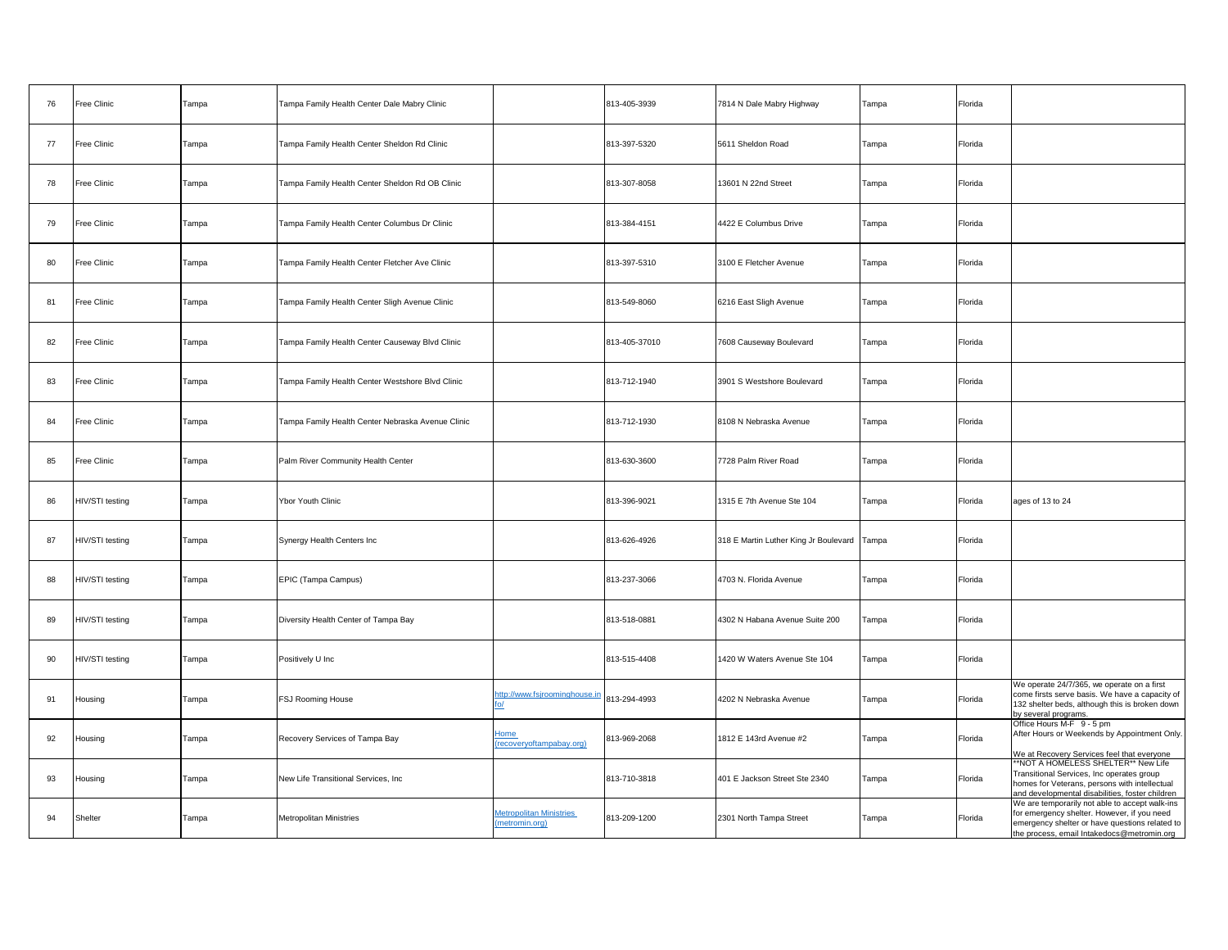| 76 | Free Clinic        | Tampa | Tampa Family Health Center Dale Mabry Clinic      |                                                  | 813-405-3939  | 7814 N Dale Mabry Highway             | Tampa | Florida |                                                                                                                                                                                               |
|----|--------------------|-------|---------------------------------------------------|--------------------------------------------------|---------------|---------------------------------------|-------|---------|-----------------------------------------------------------------------------------------------------------------------------------------------------------------------------------------------|
| 77 | Free Clinic        | Tampa | Tampa Family Health Center Sheldon Rd Clinic      |                                                  | 813-397-5320  | 5611 Sheldon Road                     | Tampa | Florida |                                                                                                                                                                                               |
| 78 | <b>Free Clinic</b> | Tampa | Tampa Family Health Center Sheldon Rd OB Clinic   |                                                  | 813-307-8058  | 13601 N 22nd Street                   | Tampa | Florida |                                                                                                                                                                                               |
| 79 | <b>Free Clinic</b> | Tampa | Tampa Family Health Center Columbus Dr Clinic     |                                                  | 813-384-4151  | 4422 E Columbus Drive                 | Tampa | Florida |                                                                                                                                                                                               |
| 80 | Free Clinic        | Tampa | Tampa Family Health Center Fletcher Ave Clinic    |                                                  | 813-397-5310  | 3100 E Fletcher Avenue                | Tampa | Florida |                                                                                                                                                                                               |
| 81 | Free Clinic        | Tampa | Tampa Family Health Center Sligh Avenue Clinic    |                                                  | 813-549-8060  | 6216 East Sligh Avenue                | Tampa | Florida |                                                                                                                                                                                               |
| 82 | Free Clinic        | Tampa | Tampa Family Health Center Causeway Blvd Clinic   |                                                  | 813-405-37010 | 7608 Causeway Boulevard               | Tampa | Florida |                                                                                                                                                                                               |
| 83 | Free Clinic        | Tampa | Tampa Family Health Center Westshore Blvd Clinic  |                                                  | 813-712-1940  | 3901 S Westshore Boulevard            | Tampa | Florida |                                                                                                                                                                                               |
| 84 | Free Clinic        | Tampa | Tampa Family Health Center Nebraska Avenue Clinic |                                                  | 813-712-1930  | 8108 N Nebraska Avenue                | Tampa | Florida |                                                                                                                                                                                               |
| 85 | Free Clinic        | Tampa | Palm River Community Health Center                |                                                  | 813-630-3600  | 7728 Palm River Road                  | Tampa | Florida |                                                                                                                                                                                               |
| 86 | HIV/STI testing    | Tampa | Ybor Youth Clinic                                 |                                                  | 813-396-9021  | 1315 E 7th Avenue Ste 104             | Tampa | Florida | ages of 13 to 24                                                                                                                                                                              |
| 87 | HIV/STI testing    | Tampa | Synergy Health Centers Inc                        |                                                  | 813-626-4926  | 318 E Martin Luther King Jr Boulevard | Tampa | Florida |                                                                                                                                                                                               |
| 88 | HIV/STI testing    | Tampa | EPIC (Tampa Campus)                               |                                                  | 813-237-3066  | 4703 N. Florida Avenue                | Tampa | Florida |                                                                                                                                                                                               |
| 89 | HIV/STI testing    | Tampa | Diversity Health Center of Tampa Bay              |                                                  | 813-518-0881  | 4302 N Habana Avenue Suite 200        | Tampa | Florida |                                                                                                                                                                                               |
| 90 | HIV/STI testing    | Tampa | Positively U Inc                                  |                                                  | 813-515-4408  | 1420 W Waters Avenue Ste 104          | Tampa | Florida |                                                                                                                                                                                               |
| 91 | Housing            | Tampa | FSJ Rooming House                                 | http://www.fsjroominghouse.in                    | 813-294-4993  | 4202 N Nebraska Avenue                | Tampa | Florida | We operate 24/7/365, we operate on a first<br>come firsts serve basis. We have a capacity of<br>132 shelter beds, although this is broken down<br>by several programs.                        |
| 92 | Housing            | Tampa | Recovery Services of Tampa Bay                    | Home<br>(recoveryoftampabay.org)                 | 813-969-2068  | 1812 E 143rd Avenue #2                | Tampa | Florida | Office Hours M-F 9 - 5 pm<br>After Hours or Weekends by Appointment Only.<br>We at Recovery Services feel that everyone                                                                       |
| 93 | Housing            | Tampa | New Life Transitional Services, Inc.              |                                                  | 813-710-3818  | 401 E Jackson Street Ste 2340         | Tampa | Florida | *NOT A HOMELESS SHELTER** New Life<br>Transitional Services, Inc operates group<br>homes for Veterans, persons with intellectual<br>and developmental disabilities, foster children           |
| 94 | Shelter            | Tampa | <b>Metropolitan Ministries</b>                    | <b>Metropolitan Ministries</b><br>(metromin.org) | 813-209-1200  | 2301 North Tampa Street               | Tampa | Florida | We are temporarily not able to accept walk-ins<br>for emergency shelter. However, if you need<br>emergency shelter or have questions related to<br>the process, email Intakedocs@metromin.org |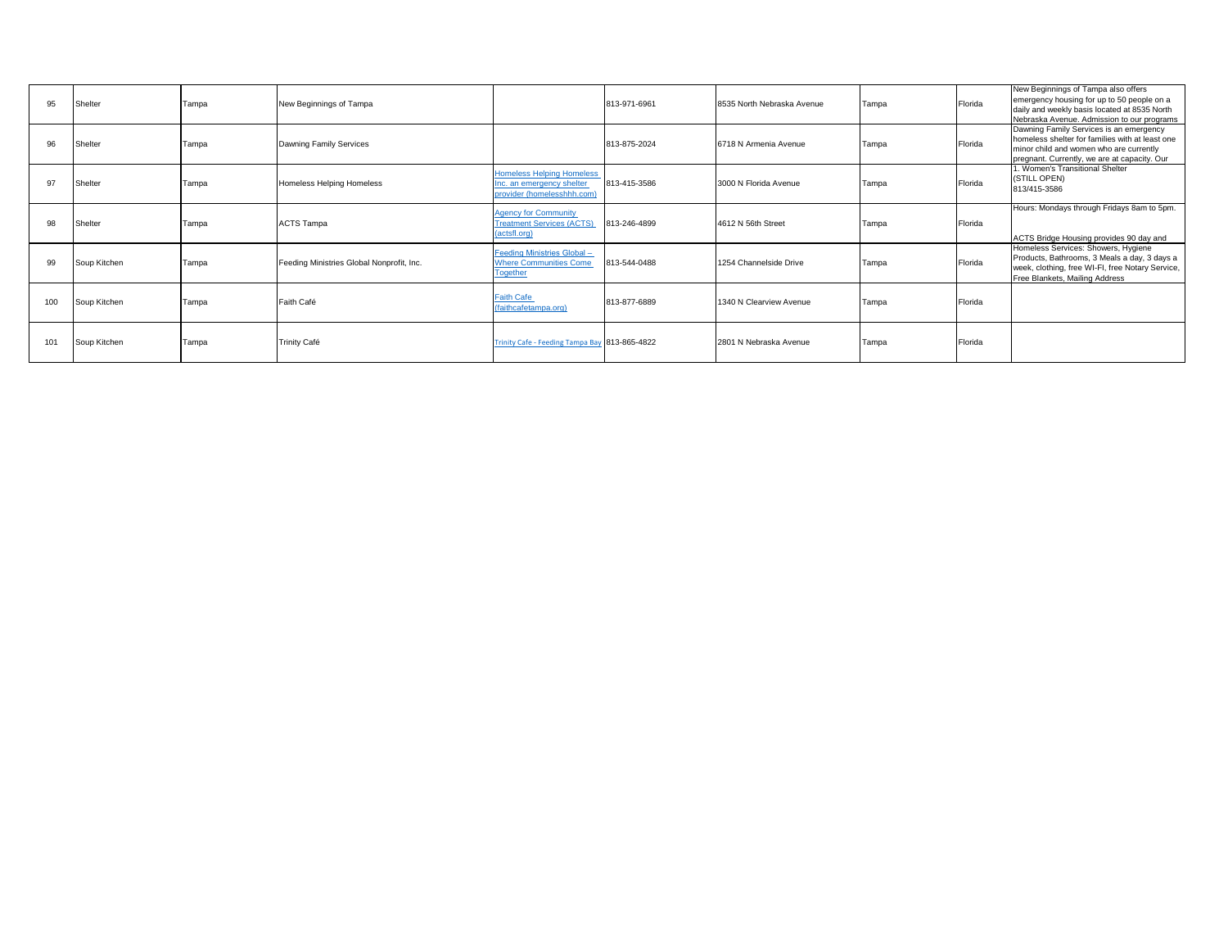| 95  | Shelter      | Tampa | New Beginnings of Tampa                   |                                                                                             | 813-971-6961 | 8535 North Nebraska Avenue | Tampa | Florida | New Beginnings of Tampa also offers<br>emergency housing for up to 50 people on a<br>daily and weekly basis located at 8535 North<br>Nebraska Avenue. Admission to our programs       |
|-----|--------------|-------|-------------------------------------------|---------------------------------------------------------------------------------------------|--------------|----------------------------|-------|---------|---------------------------------------------------------------------------------------------------------------------------------------------------------------------------------------|
| 96  | Shelter      | Tampa | Dawning Family Services                   |                                                                                             | 813-875-2024 | 6718 N Armenia Avenue      | Tampa | Florida | Dawning Family Services is an emergency<br>homeless shelter for families with at least one<br>minor child and women who are currently<br>pregnant. Currently, we are at capacity. Our |
| 97  | Shelter      | Tampa | <b>Homeless Helping Homeless</b>          | <b>Homeless Helping Homeless</b><br>Inc. an emergency shelter<br>provider (homelesshhh.com) | 813-415-3586 | 3000 N Florida Avenue      | Tampa | Florida | . Women's Transitional Shelter<br>(STILL OPEN)<br>813/415-3586                                                                                                                        |
| 98  | Shelter      | Tampa | <b>ACTS Tampa</b>                         | <b>Agency for Community</b><br><b>Treatment Services (ACTS)</b><br>(actsfl.org)             | 813-246-4899 | 4612 N 56th Street         | Tampa | Florida | Hours: Mondays through Fridays 8am to 5pm.<br>ACTS Bridge Housing provides 90 day and                                                                                                 |
| 99  | Soup Kitchen | Tampa | Feeding Ministries Global Nonprofit, Inc. | Feeding Ministries Global -<br><b>Where Communities Come</b><br><b>Together</b>             | 813-544-0488 | 1254 Channelside Drive     | Tampa | Florida | Homeless Services: Showers, Hygiene<br>Products, Bathrooms, 3 Meals a day, 3 days a<br>week, clothing, free WI-FI, free Notary Service,<br>Free Blankets, Mailing Address             |
| 100 | Soup Kitchen | Tampa | Faith Café                                | <b>Faith Cafe</b><br>(faithcafetampa.org)                                                   | 813-877-6889 | 1340 N Clearview Avenue    | Tampa | Florida |                                                                                                                                                                                       |
| 101 | Soup Kitchen | Tampa | <b>Trinity Café</b>                       | Trinity Cafe - Feeding Tampa Bay 813-865-4822                                               |              | 2801 N Nebraska Avenue     | Tampa | Florida |                                                                                                                                                                                       |